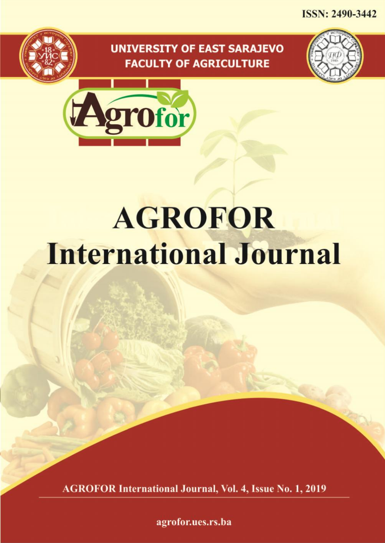**ISSN: 2490-3442** 

## **UNIVERSITY OF EAST SARAJEVO FACULTY OF AGRICULTURE**





# **AGROFOR International Journal**

**AGROFOR International Journal, Vol. 4, Issue No. 1, 2019** 

agrofor.ues.rs.ba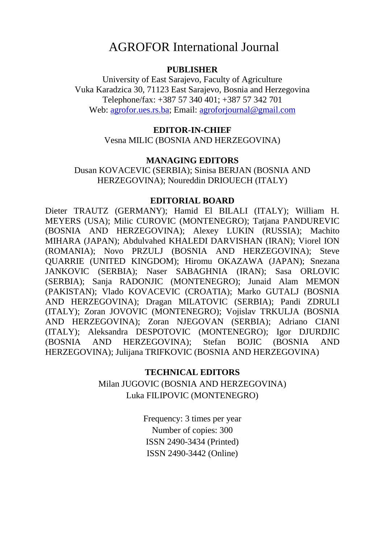## AGROFOR International Journal

#### **PUBLISHER**

University of East Sarajevo, Faculty of Agriculture Vuka Karadzica 30, 71123 East Sarajevo, Bosnia and Herzegovina Telephone/fax: +387 57 340 401; +387 57 342 701 Web: agrofor.ues.rs.ba; Email: agroforjournal@gmail.com

#### **EDITOR-IN-CHIEF**

Vesna MILIC (BOSNIA AND HERZEGOVINA)

#### **MANAGING EDITORS**

Dusan KOVACEVIC (SERBIA); Sinisa BERJAN (BOSNIA AND HERZEGOVINA); Noureddin DRIOUECH (ITALY)

#### **EDITORIAL BOARD**

Dieter TRAUTZ (GERMANY); Hamid El BILALI (ITALY); William H. MEYERS (USA); Milic CUROVIC (MONTENEGRO); Tatjana PANDUREVIC (BOSNIA AND HERZEGOVINA); Alexey LUKIN (RUSSIA); Machito MIHARA (JAPAN); Abdulvahed KHALEDI DARVISHAN (IRAN); Viorel ION (ROMANIA); Novo PRZULJ (BOSNIA AND HERZEGOVINA); Steve QUARRIE (UNITED KINGDOM); Hiromu OKAZAWA (JAPAN); Snezana JANKOVIC (SERBIA); Naser SABAGHNIA (IRAN); Sasa ORLOVIC (SERBIA); Sanja RADONJIC (MONTENEGRO); Junaid Alam MEMON (PAKISTAN); Vlado KOVACEVIC (CROATIA); Marko GUTALJ (BOSNIA AND HERZEGOVINA); Dragan MILATOVIC (SERBIA); Pandi ZDRULI (ITALY); Zoran JOVOVIC (MONTENEGRO); Vojislav TRKULJA (BOSNIA AND HERZEGOVINA); Zoran NJEGOVAN (SERBIA); Adriano CIANI (ITALY); Aleksandra DESPOTOVIC (MONTENEGRO); Igor DJURDJIC (BOSNIA AND HERZEGOVINA); Stefan BOJIC (BOSNIA AND HERZEGOVINA); Julijana TRIFKOVIC (BOSNIA AND HERZEGOVINA)

#### **TECHNICAL EDITORS**

Milan JUGOVIC (BOSNIA AND HERZEGOVINA) Luka FILIPOVIC (MONTENEGRO)

> Frequency: 3 times per year Number of copies: 300 ISSN 2490-3434 (Printed) ISSN 2490-3442 (Online)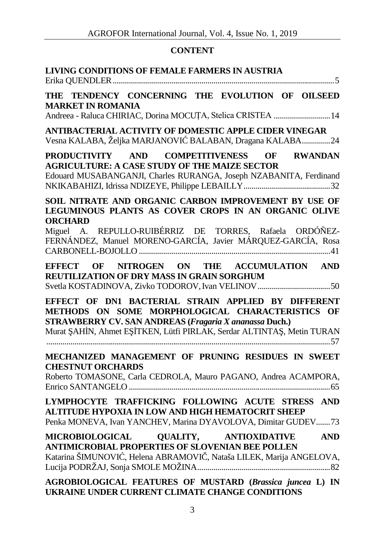### **CONTENT**

| LIVING CONDITIONS OF FEMALE FARMERS IN AUSTRIA                                                                                                                                                                                                                                                        |
|-------------------------------------------------------------------------------------------------------------------------------------------------------------------------------------------------------------------------------------------------------------------------------------------------------|
| THE TENDENCY CONCERNING THE EVOLUTION OF OILSEED<br><b>MARKET IN ROMANIA</b><br>Andreea - Raluca CHIRIAC, Dorina MOCUȚA, Stelica CRISTEA  14                                                                                                                                                          |
| ANTIBACTERIAL ACTIVITY OF DOMESTIC APPLE CIDER VINEGAR<br>Vesna KALABA, Željka MARJANOVI BALABAN, Dragana KALABA24                                                                                                                                                                                    |
| PRODUCTIVITY AND COMPETITIVENESS<br>OF RWANDAN<br><b>AGRICULTURE: A CASE STUDY OF THE MAIZE SECTOR</b><br>Edouard MUSABANGANJI, Charles RURANGA, Joseph NZABANITA, Ferdinand                                                                                                                          |
| SOIL NITRATE AND ORGANIC CARBON IMPROVEMENT BY USE OF<br>LEGUMINOUS PLANTS AS COVER CROPS IN AN ORGANIC OLIVE<br><b>ORCHARD</b><br>Miguel A. REPULLO-RUIBÉRRIZ DE TORRES, Rafaela ORDÓÑEZ-<br>FERNÁNDEZ, Manuel MORENO-GARCÍA, Javier MÁRQUEZ-GARCÍA, Rosa                                            |
| EFFECT OF NITROGEN ON THE ACCUMULATION AND<br>REUTILIZATION OF DRY MASS IN GRAIN SORGHUM                                                                                                                                                                                                              |
| EFFECT OF DN1 BACTERIAL STRAIN APPLIED BY DIFFERENT<br>METHODS ON SOME MORPHOLOGICAL CHARACTERISTICS OF<br><b>STRAWBERRY CV. SAN ANDREAS (Fragaria X ananassa Duch.)</b><br>Murat AH N, Ahmet E TKEN, Lütfi PIRLAK, Serdar ALTINTA, Metin TURAN<br>MECHANIZED MANAGEMENT OF PRUNING RESIDUES IN SWEET |
| <b>CHESTNUT ORCHARDS</b><br>Roberto TOMASONE, Carla CEDROLA, Mauro PAGANO, Andrea ACAMPORA,                                                                                                                                                                                                           |
| LYMPHOCYTE TRAFFICKING FOLLOWING ACUTE STRESS AND<br>ALTITUDE HYPOXIA IN LOW AND HIGH HEMATOCRIT SHEEP<br>Penka MONEVA, Ivan YANCHEV, Marina DYAVOLOVA, Dimitar GUDEV73                                                                                                                               |
| <b>MICROBIOLOGICAL</b><br><b>OUALITY,</b><br><b>ANTIOXIDATIVE</b><br><b>AND</b><br><b>ANTIMICROBIAL PROPERTIES OF SLOVENIAN BEE POLLEN</b><br>Katarina ŠIMUNOVI, Helena ABRAMOVI, Nataša LILEK, Marija ANGELOVA,                                                                                      |
| AGROBIOLOGICAL FEATURES OF MUSTARD (Brassica juncea L) IN<br>UKRAINE UNDER CURRENT CLIMATE CHANGE CONDITIONS                                                                                                                                                                                          |